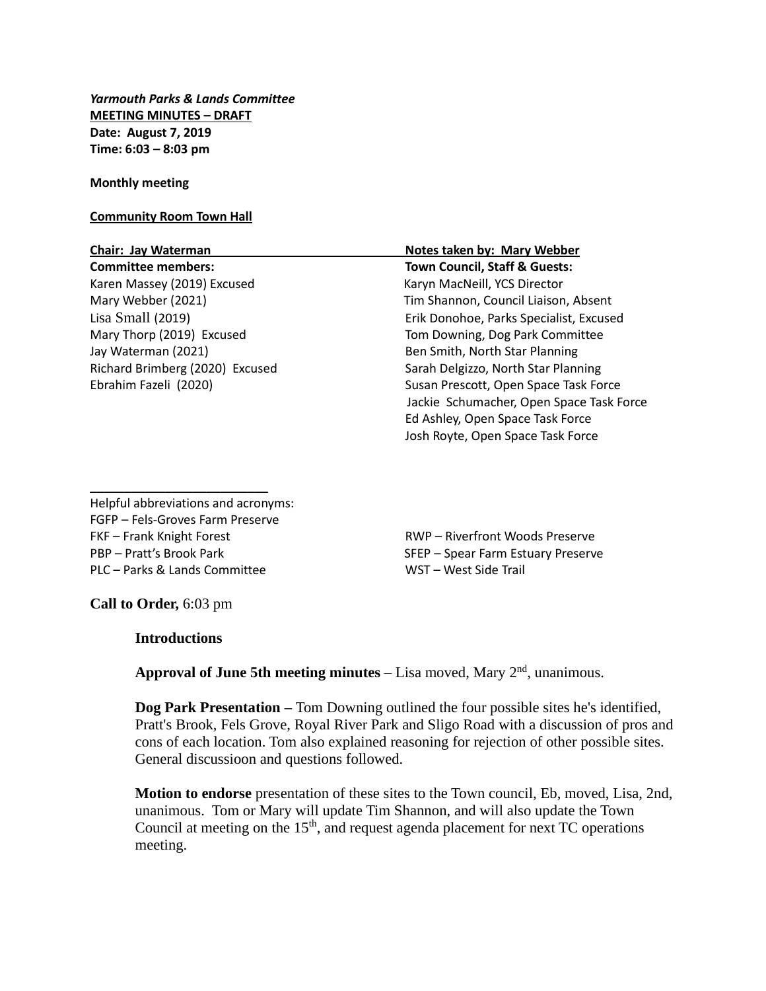*Yarmouth Parks & Lands Committee* **MEETING MINUTES – DRAFT Date: August 7, 2019 Time: 6:03 – 8:03 pm**

### **Monthly meeting**

## **Community Room Town Hall**

Karen Massey (2019) Excused Karyn MacNeill, YCS Director Jay Waterman (2021) Ben Smith, North Star Planning

# **Chair: Jay Waterman Notes taken by: Mary Webber Committee members: Town Council, Staff & Guests:** Mary Webber (2021) Tim Shannon, Council Liaison, Absent Lisa Small (2019) Erik Donohoe, Parks Specialist, Excused Mary Thorp (2019) Excused Tom Downing, Dog Park Committee Richard Brimberg (2020) Excused Sarah Delgizzo, North Star Planning Ebrahim Fazeli (2020) Susan Prescott, Open Space Task Force Jackie Schumacher, Open Space Task Force Ed Ashley, Open Space Task Force Josh Royte, Open Space Task Force

Helpful abbreviations and acronyms: FGFP – Fels-Groves Farm Preserve FKF – Frank Knight Forest **RWP** – Riverfront Woods Preserve PBP – Pratt's Brook Park SFEP – Spear Farm Estuary Preserve PLC – Parks & Lands Committee WST – West Side Trail

\_\_\_\_\_\_\_\_\_\_\_\_\_\_\_\_\_\_\_\_\_\_\_\_\_\_

**Call to Order,** 6:03 pm

## **Introductions**

**Approval of June 5th meeting minutes** – Lisa moved, Mary 2<sup>nd</sup>, unanimous.

**Dog Park Presentation –** Tom Downing outlined the four possible sites he's identified, Pratt's Brook, Fels Grove, Royal River Park and Sligo Road with a discussion of pros and cons of each location. Tom also explained reasoning for rejection of other possible sites. General discussioon and questions followed.

**Motion to endorse** presentation of these sites to the Town council, Eb, moved, Lisa, 2nd, unanimous. Tom or Mary will update Tim Shannon, and will also update the Town Council at meeting on the  $15<sup>th</sup>$ , and request agenda placement for next TC operations meeting.